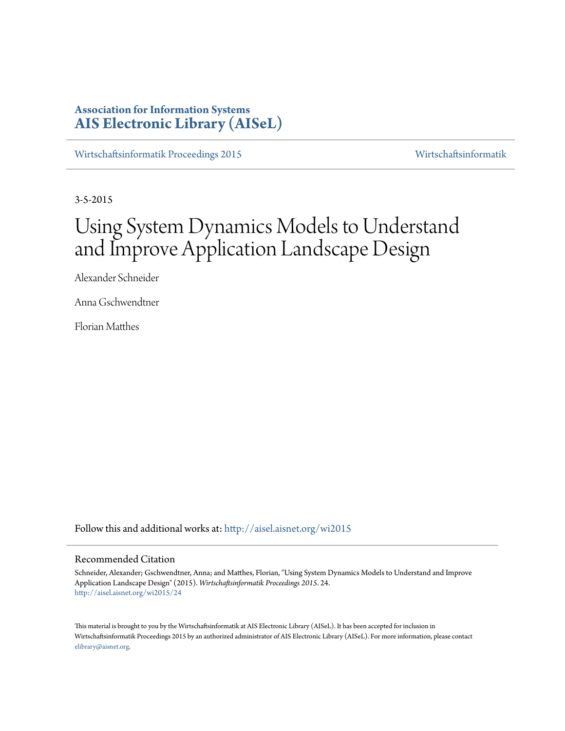# **Association for Information Systems [AIS Electronic Library \(AISeL\)](http://aisel.aisnet.org?utm_source=aisel.aisnet.org%2Fwi2015%2F24&utm_medium=PDF&utm_campaign=PDFCoverPages)**

[Wirtschaftsinformatik Proceedings 2015](http://aisel.aisnet.org/wi2015?utm_source=aisel.aisnet.org%2Fwi2015%2F24&utm_medium=PDF&utm_campaign=PDFCoverPages) [Wirtschaftsinformatik](http://aisel.aisnet.org/wi?utm_source=aisel.aisnet.org%2Fwi2015%2F24&utm_medium=PDF&utm_campaign=PDFCoverPages)

3-5-2015

# Using System Dynamics Models to Understand and Improve Application Landscape Design

Alexander Schneider

Anna Gschwendtner

Florian Matthes

Follow this and additional works at: [http://aisel.aisnet.org/wi2015](http://aisel.aisnet.org/wi2015?utm_source=aisel.aisnet.org%2Fwi2015%2F24&utm_medium=PDF&utm_campaign=PDFCoverPages)

#### Recommended Citation

Schneider, Alexander; Gschwendtner, Anna; and Matthes, Florian, "Using System Dynamics Models to Understand and Improve Application Landscape Design" (2015). *Wirtschaftsinformatik Proceedings 2015*. 24. [http://aisel.aisnet.org/wi2015/24](http://aisel.aisnet.org/wi2015/24?utm_source=aisel.aisnet.org%2Fwi2015%2F24&utm_medium=PDF&utm_campaign=PDFCoverPages)

This material is brought to you by the Wirtschaftsinformatik at AIS Electronic Library (AISeL). It has been accepted for inclusion in Wirtschaftsinformatik Proceedings 2015 by an authorized administrator of AIS Electronic Library (AISeL). For more information, please contact [elibrary@aisnet.org.](mailto:elibrary@aisnet.org%3E)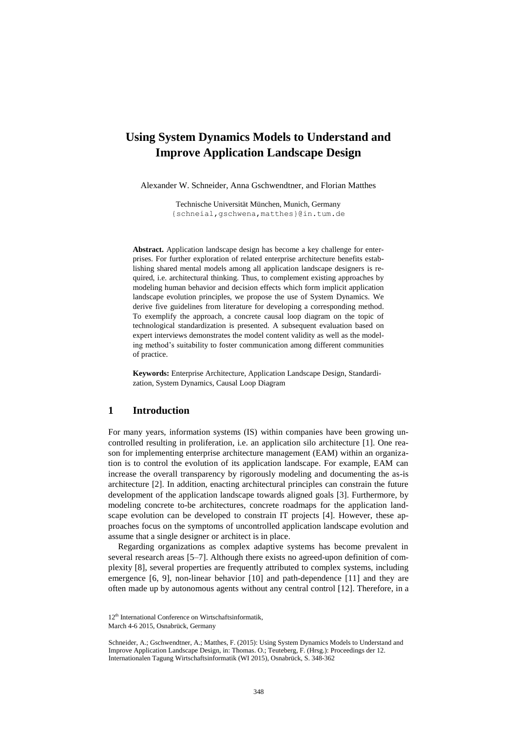# **Using System Dynamics Models to Understand and Improve Application Landscape Design**

Alexander W. Schneider, Anna Gschwendtner, and Florian Matthes

Technische Universität München, Munich, Germany {schneial,gschwena,matthes}@in.tum.de

**Abstract.** Application landscape design has become a key challenge for enterprises. For further exploration of related enterprise architecture benefits establishing shared mental models among all application landscape designers is required, i.e. architectural thinking. Thus, to complement existing approaches by modeling human behavior and decision effects which form implicit application landscape evolution principles, we propose the use of System Dynamics. We derive five guidelines from literature for developing a corresponding method. To exemplify the approach, a concrete causal loop diagram on the topic of technological standardization is presented. A subsequent evaluation based on expert interviews demonstrates the model content validity as well as the modeling method's suitability to foster communication among different communities of practice.

**Keywords:** Enterprise Architecture, Application Landscape Design, Standardization, System Dynamics, Causal Loop Diagram

## **1 Introduction**

For many years, information systems (IS) within companies have been growing uncontrolled resulting in proliferation, i.e. an application silo architecture [1]. One reason for implementing enterprise architecture management (EAM) within an organization is to control the evolution of its application landscape. For example, EAM can increase the overall transparency by rigorously modeling and documenting the as-is architecture [2]. In addition, enacting architectural principles can constrain the future development of the application landscape towards aligned goals [3]. Furthermore, by modeling concrete to-be architectures, concrete roadmaps for the application landscape evolution can be developed to constrain IT projects [4]. However, these approaches focus on the symptoms of uncontrolled application landscape evolution and assume that a single designer or architect is in place.

Regarding organizations as complex adaptive systems has become prevalent in several research areas [5–7]. Although there exists no agreed-upon definition of complexity [8], several properties are frequently attributed to complex systems, including emergence [6, 9], non-linear behavior [10] and path-dependence [11] and they are often made up by autonomous agents without any central control [12]. Therefore, in a

<sup>12&</sup>lt;sup>th</sup> International Conference on Wirtschaftsinformatik.

March 4-6 2015, Osnabrück, Germany

Schneider, A.; Gschwendtner, A.; Matthes, F. (2015): Using System Dynamics Models to Understand and Improve Application Landscape Design, in: Thomas. O.; Teuteberg, F. (Hrsg.): Proceedings der 12. Internationalen Tagung Wirtschaftsinformatik (WI 2015), Osnabrück, S. 348-362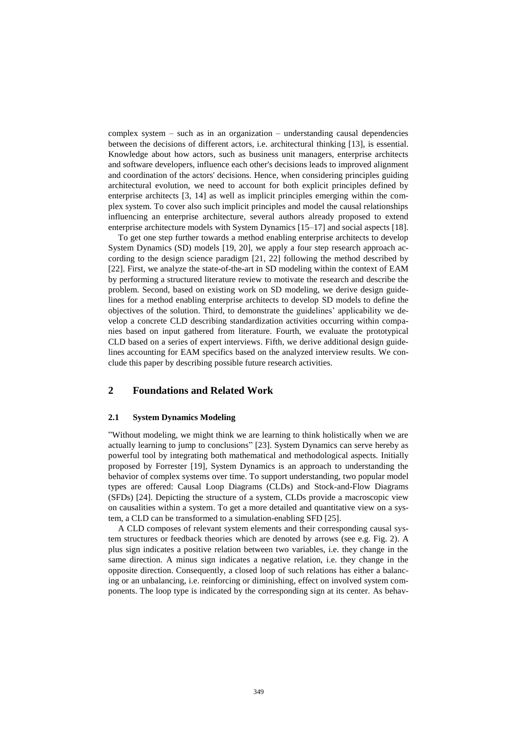complex system – such as in an organization – understanding causal dependencies between the decisions of different actors, i.e. architectural thinking [13], is essential. Knowledge about how actors, such as business unit managers, enterprise architects and software developers, influence each other's decisions leads to improved alignment and coordination of the actors' decisions. Hence, when considering principles guiding architectural evolution, we need to account for both explicit principles defined by enterprise architects [3, 14] as well as implicit principles emerging within the complex system. To cover also such implicit principles and model the causal relationships influencing an enterprise architecture, several authors already proposed to extend enterprise architecture models with System Dynamics [15–17] and social aspects [18].

To get one step further towards a method enabling enterprise architects to develop System Dynamics (SD) models [19, 20], we apply a four step research approach according to the design science paradigm [21, 22] following the method described by [22]. First, we analyze the state-of-the-art in SD modeling within the context of EAM by performing a structured literature review to motivate the research and describe the problem. Second, based on existing work on SD modeling, we derive design guidelines for a method enabling enterprise architects to develop SD models to define the objectives of the solution. Third, to demonstrate the guidelines' applicability we develop a concrete CLD describing standardization activities occurring within companies based on input gathered from literature. Fourth, we evaluate the prototypical CLD based on a series of expert interviews. Fifth, we derive additional design guidelines accounting for EAM specifics based on the analyzed interview results. We conclude this paper by describing possible future research activities.

# **2 Foundations and Related Work**

#### **2.1 System Dynamics Modeling**

"Without modeling, we might think we are learning to think holistically when we are actually learning to jump to conclusions" [23]. System Dynamics can serve hereby as powerful tool by integrating both mathematical and methodological aspects. Initially proposed by Forrester [19], System Dynamics is an approach to understanding the behavior of complex systems over time. To support understanding, two popular model types are offered: Causal Loop Diagrams (CLDs) and Stock-and-Flow Diagrams (SFDs) [24]. Depicting the structure of a system, CLDs provide a macroscopic view on causalities within a system. To get a more detailed and quantitative view on a system, a CLD can be transformed to a simulation-enabling SFD [25].

A CLD composes of relevant system elements and their corresponding causal system structures or feedback theories which are denoted by arrows (see e.g. Fig. 2). A plus sign indicates a positive relation between two variables, i.e. they change in the same direction. A minus sign indicates a negative relation, i.e. they change in the opposite direction. Consequently, a closed loop of such relations has either a balancing or an unbalancing, i.e. reinforcing or diminishing, effect on involved system components. The loop type is indicated by the corresponding sign at its center. As behav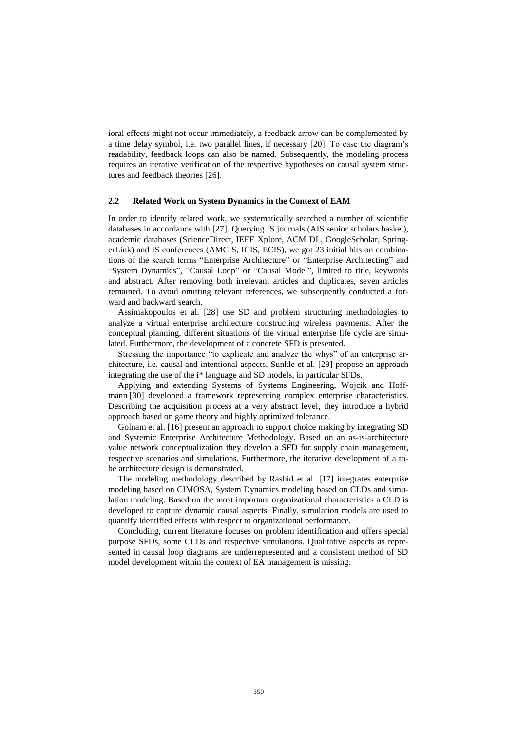ioral effects might not occur immediately, a feedback arrow can be complemented by a time delay symbol, i.e. two parallel lines, if necessary [20]. To ease the diagram's readability, feedback loops can also be named. Subsequently, the modeling process requires an iterative verification of the respective hypotheses on causal system structures and feedback theories [26].

#### **2.2 Related Work on System Dynamics in the Context of EAM**

In order to identify related work, we systematically searched a number of scientific databases in accordance with [27]. Querying IS journals (AIS senior scholars basket), academic databases (ScienceDirect, IEEE Xplore, ACM DL, GoogleScholar, SpringerLink) and IS conferences (AMCIS, ICIS, ECIS), we got 23 initial hits on combinations of the search terms "Enterprise Architecture" or "Enterprise Architecting" and "System Dynamics", "Causal Loop" or "Causal Model", limited to title, keywords and abstract. After removing both irrelevant articles and duplicates, seven articles remained. To avoid omitting relevant references, we subsequently conducted a forward and backward search.

Assimakopoulos et al. [28] use SD and problem structuring methodologies to analyze a virtual enterprise architecture constructing wireless payments. After the conceptual planning, different situations of the virtual enterprise life cycle are simulated. Furthermore, the development of a concrete SFD is presented.

Stressing the importance "to explicate and analyze the whys" of an enterprise architecture, i.e. causal and intentional aspects, Sunkle et al. [29] propose an approach integrating the use of the i\* language and SD models, in particular SFDs.

Applying and extending Systems of Systems Engineering, Wojcik and Hoffmann [30] developed a framework representing complex enterprise characteristics. Describing the acquisition process at a very abstract level, they introduce a hybrid approach based on game theory and highly optimized tolerance.

Golnam et al. [16] present an approach to support choice making by integrating SD and Systemic Enterprise Architecture Methodology. Based on an as-is-architecture value network conceptualization they develop a SFD for supply chain management, respective scenarios and simulations. Furthermore, the iterative development of a tobe architecture design is demonstrated.

The modeling methodology described by Rashid et al. [17] integrates enterprise modeling based on CIMOSA, System Dynamics modeling based on CLDs and simulation modeling. Based on the most important organizational characteristics a CLD is developed to capture dynamic causal aspects. Finally, simulation models are used to quantify identified effects with respect to organizational performance.

Concluding, current literature focuses on problem identification and offers special purpose SFDs, some CLDs and respective simulations. Qualitative aspects as represented in causal loop diagrams are underrepresented and a consistent method of SD model development within the context of EA management is missing.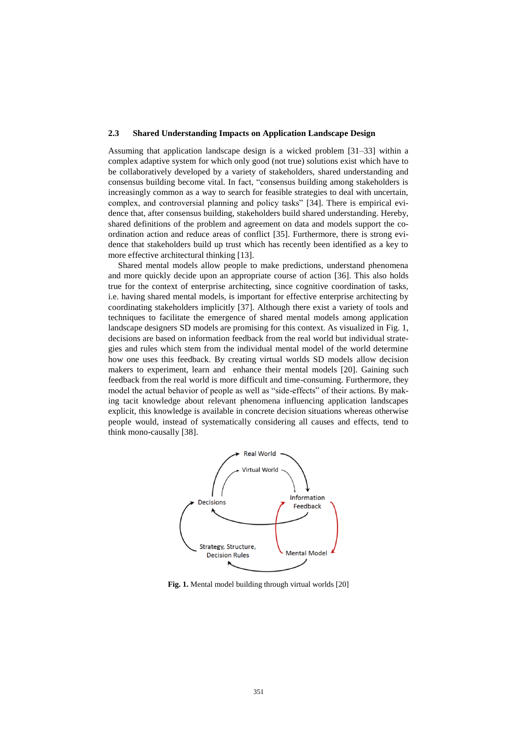#### **2.3 Shared Understanding Impacts on Application Landscape Design**

Assuming that application landscape design is a wicked problem [31–33] within a complex adaptive system for which only good (not true) solutions exist which have to be collaboratively developed by a variety of stakeholders, shared understanding and consensus building become vital. In fact, "consensus building among stakeholders is increasingly common as a way to search for feasible strategies to deal with uncertain, complex, and controversial planning and policy tasks" [34]. There is empirical evidence that, after consensus building, stakeholders build shared understanding. Hereby, shared definitions of the problem and agreement on data and models support the coordination action and reduce areas of conflict [35]. Furthermore, there is strong evidence that stakeholders build up trust which has recently been identified as a key to more effective architectural thinking [13].

Shared mental models allow people to make predictions, understand phenomena and more quickly decide upon an appropriate course of action [36]. This also holds true for the context of enterprise architecting, since cognitive coordination of tasks, i.e. having shared mental models, is important for effective enterprise architecting by coordinating stakeholders implicitly [37]. Although there exist a variety of tools and techniques to facilitate the emergence of shared mental models among application landscape designers SD models are promising for this context. As visualized in Fig. 1, decisions are based on information feedback from the real world but individual strategies and rules which stem from the individual mental model of the world determine how one uses this feedback. By creating virtual worlds SD models allow decision makers to experiment, learn and enhance their mental models [20]. Gaining such feedback from the real world is more difficult and time-consuming. Furthermore, they model the actual behavior of people as well as "side-effects" of their actions. By making tacit knowledge about relevant phenomena influencing application landscapes explicit, this knowledge is available in concrete decision situations whereas otherwise people would, instead of systematically considering all causes and effects, tend to think mono-causally [38].



**Fig. 1.** Mental model building through virtual worlds [20]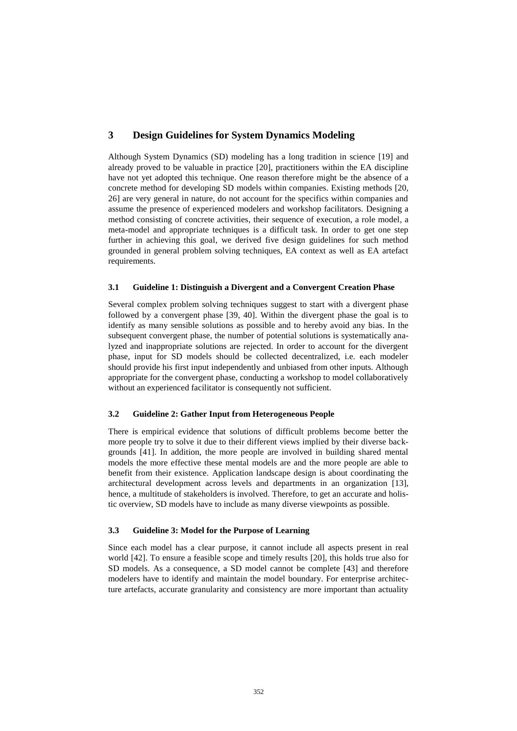# **3 Design Guidelines for System Dynamics Modeling**

Although System Dynamics (SD) modeling has a long tradition in science [19] and already proved to be valuable in practice [20], practitioners within the EA discipline have not yet adopted this technique. One reason therefore might be the absence of a concrete method for developing SD models within companies. Existing methods [20, 26] are very general in nature, do not account for the specifics within companies and assume the presence of experienced modelers and workshop facilitators. Designing a method consisting of concrete activities, their sequence of execution, a role model, a meta-model and appropriate techniques is a difficult task. In order to get one step further in achieving this goal, we derived five design guidelines for such method grounded in general problem solving techniques, EA context as well as EA artefact requirements.

#### **3.1 Guideline 1: Distinguish a Divergent and a Convergent Creation Phase**

Several complex problem solving techniques suggest to start with a divergent phase followed by a convergent phase [39, 40]. Within the divergent phase the goal is to identify as many sensible solutions as possible and to hereby avoid any bias. In the subsequent convergent phase, the number of potential solutions is systematically analyzed and inappropriate solutions are rejected. In order to account for the divergent phase, input for SD models should be collected decentralized, i.e. each modeler should provide his first input independently and unbiased from other inputs. Although appropriate for the convergent phase, conducting a workshop to model collaboratively without an experienced facilitator is consequently not sufficient.

#### **3.2 Guideline 2: Gather Input from Heterogeneous People**

There is empirical evidence that solutions of difficult problems become better the more people try to solve it due to their different views implied by their diverse backgrounds [41]. In addition, the more people are involved in building shared mental models the more effective these mental models are and the more people are able to benefit from their existence. Application landscape design is about coordinating the architectural development across levels and departments in an organization [13], hence, a multitude of stakeholders is involved. Therefore, to get an accurate and holistic overview, SD models have to include as many diverse viewpoints as possible.

#### **3.3 Guideline 3: Model for the Purpose of Learning**

Since each model has a clear purpose, it cannot include all aspects present in real world [42]. To ensure a feasible scope and timely results [20], this holds true also for SD models. As a consequence, a SD model cannot be complete [43] and therefore modelers have to identify and maintain the model boundary. For enterprise architecture artefacts, accurate granularity and consistency are more important than actuality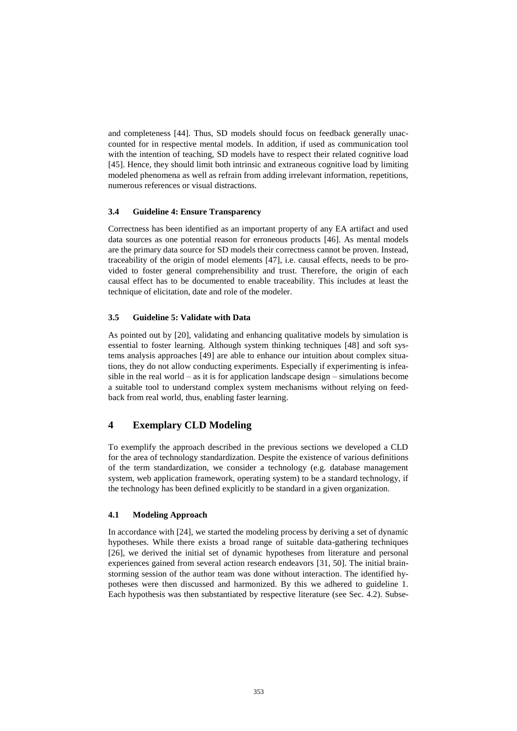and completeness [44]. Thus, SD models should focus on feedback generally unaccounted for in respective mental models. In addition, if used as communication tool with the intention of teaching, SD models have to respect their related cognitive load [45]. Hence, they should limit both intrinsic and extraneous cognitive load by limiting modeled phenomena as well as refrain from adding irrelevant information, repetitions, numerous references or visual distractions.

#### **3.4 Guideline 4: Ensure Transparency**

Correctness has been identified as an important property of any EA artifact and used data sources as one potential reason for erroneous products [46]. As mental models are the primary data source for SD models their correctness cannot be proven. Instead, traceability of the origin of model elements [47], i.e. causal effects, needs to be provided to foster general comprehensibility and trust. Therefore, the origin of each causal effect has to be documented to enable traceability. This includes at least the technique of elicitation, date and role of the modeler.

#### **3.5 Guideline 5: Validate with Data**

As pointed out by [20], validating and enhancing qualitative models by simulation is essential to foster learning. Although system thinking techniques [48] and soft systems analysis approaches [49] are able to enhance our intuition about complex situations, they do not allow conducting experiments. Especially if experimenting is infeasible in the real world – as it is for application landscape design – simulations become a suitable tool to understand complex system mechanisms without relying on feedback from real world, thus, enabling faster learning.

# **4 Exemplary CLD Modeling**

To exemplify the approach described in the previous sections we developed a CLD for the area of technology standardization. Despite the existence of various definitions of the term standardization, we consider a technology (e.g. database management system, web application framework, operating system) to be a standard technology, if the technology has been defined explicitly to be standard in a given organization.

#### **4.1 Modeling Approach**

In accordance with [24], we started the modeling process by deriving a set of dynamic hypotheses. While there exists a broad range of suitable data-gathering techniques [26], we derived the initial set of dynamic hypotheses from literature and personal experiences gained from several action research endeavors [31, 50]. The initial brainstorming session of the author team was done without interaction. The identified hypotheses were then discussed and harmonized. By this we adhered to guideline 1. Each hypothesis was then substantiated by respective literature (see Sec. [4.2\)](#page-7-0). Subse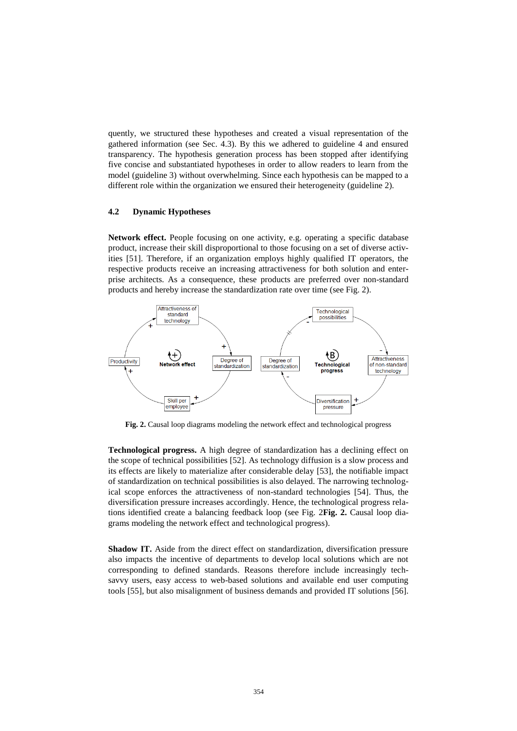quently, we structured these hypotheses and created a visual representation of the gathered information (see Sec. [4.3\)](#page-8-0). By this we adhered to guideline 4 and ensured transparency. The hypothesis generation process has been stopped after identifying five concise and substantiated hypotheses in order to allow readers to learn from the model (guideline 3) without overwhelming. Since each hypothesis can be mapped to a different role within the organization we ensured their heterogeneity (guideline 2).

#### <span id="page-7-0"></span>**4.2 Dynamic Hypotheses**

**Network effect.** People focusing on one activity, e.g. operating a specific database product, increase their skill disproportional to those focusing on a set of diverse activities [51]. Therefore, if an organization employs highly qualified IT operators, the respective products receive an increasing attractiveness for both solution and enterprise architects. As a consequence, these products are preferred over non-standard products and hereby increase the standardization rate over time (see Fig. 2).



<span id="page-7-1"></span>**Fig. 2.** Causal loop diagrams modeling the network effect and technological progress

**Technological progress.** A high degree of standardization has a declining effect on the scope of technical possibilities [52]. As technology diffusion is a slow process and its effects are likely to materialize after considerable delay [53], the notifiable impact of standardization on technical possibilities is also delayed. The narrowing technological scope enforces the attractiveness of non-standard technologies [54]. Thus, the diversification pressure increases accordingly. Hence, the technological progress relations identified create a balancing feedback loop (see Fig. 2**Fig. 2.** Causal [loop dia](#page-7-1)[grams modeling the network effect and technological progress\)](#page-7-1).

**Shadow IT.** Aside from the direct effect on standardization, diversification pressure also impacts the incentive of departments to develop local solutions which are not corresponding to defined standards. Reasons therefore include increasingly techsavvy users, easy access to web-based solutions and available end user computing tools [55], but also misalignment of business demands and provided IT solutions [56].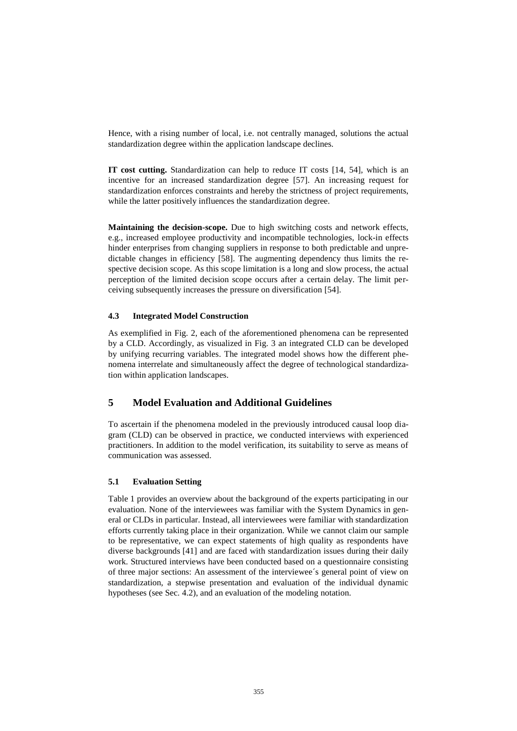Hence, with a rising number of local, i.e. not centrally managed, solutions the actual standardization degree within the application landscape declines.

**IT cost cutting.** Standardization can help to reduce IT costs [14, 54], which is an incentive for an increased standardization degree [57]. An increasing request for standardization enforces constraints and hereby the strictness of project requirements, while the latter positively influences the standardization degree.

**Maintaining the decision-scope.** Due to high switching costs and network effects, e.g., increased employee productivity and incompatible technologies, lock-in effects hinder enterprises from changing suppliers in response to both predictable and unpredictable changes in efficiency [58]. The augmenting dependency thus limits the respective decision scope. As this scope limitation is a long and slow process, the actual perception of the limited decision scope occurs after a certain delay. The limit perceiving subsequently increases the pressure on diversification [54].

#### <span id="page-8-0"></span>**4.3 Integrated Model Construction**

As exemplified in Fig. 2, each of the aforementioned phenomena can be represented by a CLD. Accordingly, as visualized in Fig. 3 an integrated CLD can be developed by unifying recurring variables. The integrated model shows how the different phenomena interrelate and simultaneously affect the degree of technological standardization within application landscapes.

## **5 Model Evaluation and Additional Guidelines**

To ascertain if the phenomena modeled in the previously introduced causal loop diagram (CLD) can be observed in practice, we conducted interviews with experienced practitioners. In addition to the model verification, its suitability to serve as means of communication was assessed.

#### **5.1 Evaluation Setting**

Table 1 provides an overview about the background of the experts participating in our evaluation. None of the interviewees was familiar with the System Dynamics in general or CLDs in particular. Instead, all interviewees were familiar with standardization efforts currently taking place in their organization. While we cannot claim our sample to be representative, we can expect statements of high quality as respondents have diverse backgrounds [41] and are faced with standardization issues during their daily work. Structured interviews have been conducted based on a questionnaire consisting of three major sections: An assessment of the interviewee´s general point of view on standardization, a stepwise presentation and evaluation of the individual dynamic hypotheses (see Sec[. 4.2\)](#page-7-0), and an evaluation of the modeling notation.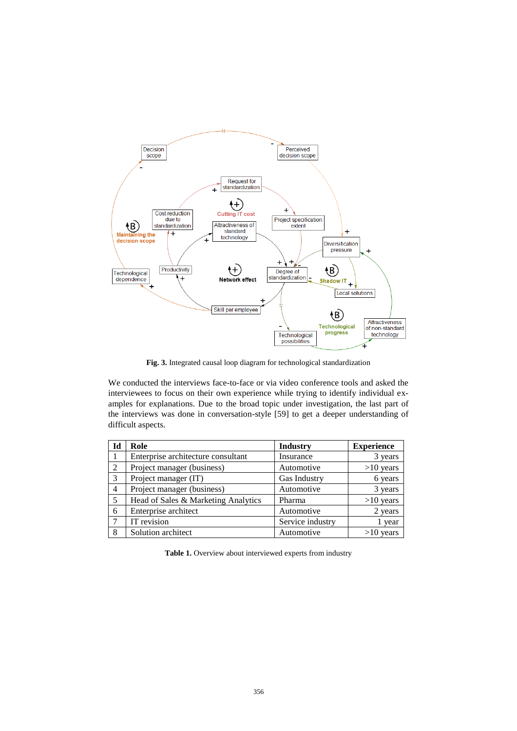

**Fig. 3.** Integrated causal loop diagram for technological standardization

We conducted the interviews face-to-face or via video conference tools and asked the interviewees to focus on their own experience while trying to identify individual examples for explanations. Due to the broad topic under investigation, the last part of the interviews was done in conversation-style [59] to get a deeper understanding of difficult aspects.

| Id             | Role                                | <b>Industry</b>  | <b>Experience</b> |
|----------------|-------------------------------------|------------------|-------------------|
|                | Enterprise architecture consultant  | Insurance        | 3 years           |
| 2              | Project manager (business)          | Automotive       | $>10$ years       |
| 3              | Project manager (IT)                | Gas Industry     | 6 years           |
| $\overline{4}$ | Project manager (business)          | Automotive       | 3 years           |
| 5              | Head of Sales & Marketing Analytics | Pharma           | $>10$ years       |
| 6              | Enterprise architect                | Automotive       | 2 years           |
|                | IT revision                         | Service industry | year              |
| 8              | Solution architect                  | Automotive       | $>10$ years       |

**Table 1.** Overview about interviewed experts from industry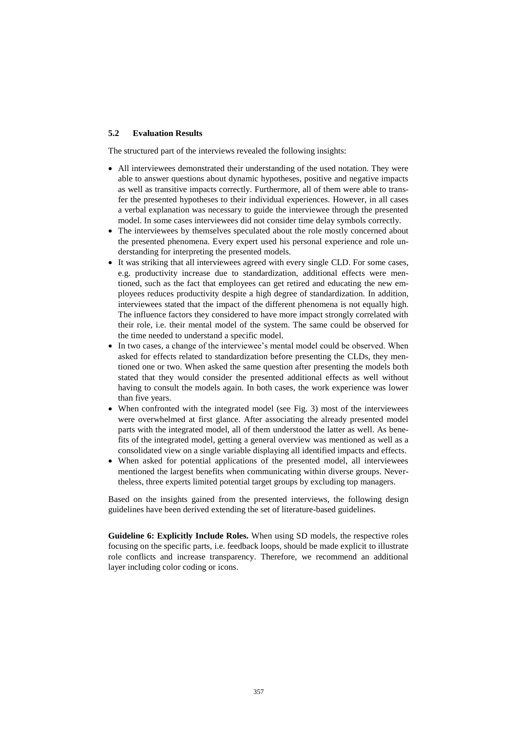#### **5.2 Evaluation Results**

The structured part of the interviews revealed the following insights:

- All interviewees demonstrated their understanding of the used notation. They were able to answer questions about dynamic hypotheses, positive and negative impacts as well as transitive impacts correctly. Furthermore, all of them were able to transfer the presented hypotheses to their individual experiences. However, in all cases a verbal explanation was necessary to guide the interviewee through the presented model. In some cases interviewees did not consider time delay symbols correctly.
- The interviewees by themselves speculated about the role mostly concerned about the presented phenomena. Every expert used his personal experience and role understanding for interpreting the presented models.
- It was striking that all interviewees agreed with every single CLD. For some cases, e.g. productivity increase due to standardization, additional effects were mentioned, such as the fact that employees can get retired and educating the new employees reduces productivity despite a high degree of standardization. In addition, interviewees stated that the impact of the different phenomena is not equally high. The influence factors they considered to have more impact strongly correlated with their role, i.e. their mental model of the system. The same could be observed for the time needed to understand a specific model.
- In two cases, a change of the interviewee's mental model could be observed. When asked for effects related to standardization before presenting the CLDs, they mentioned one or two. When asked the same question after presenting the models both stated that they would consider the presented additional effects as well without having to consult the models again. In both cases, the work experience was lower than five years.
- When confronted with the integrated model (see Fig. 3) most of the interviewees were overwhelmed at first glance. After associating the already presented model parts with the integrated model, all of them understood the latter as well. As benefits of the integrated model, getting a general overview was mentioned as well as a consolidated view on a single variable displaying all identified impacts and effects.
- When asked for potential applications of the presented model, all interviewees mentioned the largest benefits when communicating within diverse groups. Nevertheless, three experts limited potential target groups by excluding top managers.

Based on the insights gained from the presented interviews, the following design guidelines have been derived extending the set of literature-based guidelines.

**Guideline 6: Explicitly Include Roles.** When using SD models, the respective roles focusing on the specific parts, i.e. feedback loops, should be made explicit to illustrate role conflicts and increase transparency. Therefore, we recommend an additional layer including color coding or icons.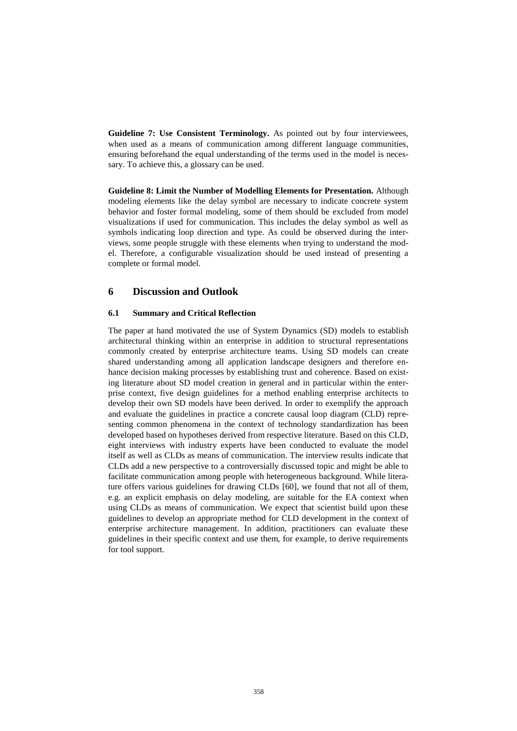**Guideline 7: Use Consistent Terminology.** As pointed out by four interviewees, when used as a means of communication among different language communities, ensuring beforehand the equal understanding of the terms used in the model is necessary. To achieve this, a glossary can be used.

**Guideline 8: Limit the Number of Modelling Elements for Presentation.** Although modeling elements like the delay symbol are necessary to indicate concrete system behavior and foster formal modeling, some of them should be excluded from model visualizations if used for communication. This includes the delay symbol as well as symbols indicating loop direction and type. As could be observed during the interviews, some people struggle with these elements when trying to understand the model. Therefore, a configurable visualization should be used instead of presenting a complete or formal model.

# **6 Discussion and Outlook**

#### **6.1 Summary and Critical Reflection**

The paper at hand motivated the use of System Dynamics (SD) models to establish architectural thinking within an enterprise in addition to structural representations commonly created by enterprise architecture teams. Using SD models can create shared understanding among all application landscape designers and therefore enhance decision making processes by establishing trust and coherence. Based on existing literature about SD model creation in general and in particular within the enterprise context, five design guidelines for a method enabling enterprise architects to develop their own SD models have been derived. In order to exemplify the approach and evaluate the guidelines in practice a concrete causal loop diagram (CLD) representing common phenomena in the context of technology standardization has been developed based on hypotheses derived from respective literature. Based on this CLD, eight interviews with industry experts have been conducted to evaluate the model itself as well as CLDs as means of communication. The interview results indicate that CLDs add a new perspective to a controversially discussed topic and might be able to facilitate communication among people with heterogeneous background. While literature offers various guidelines for drawing CLDs [60], we found that not all of them, e.g. an explicit emphasis on delay modeling, are suitable for the EA context when using CLDs as means of communication. We expect that scientist build upon these guidelines to develop an appropriate method for CLD development in the context of enterprise architecture management. In addition, practitioners can evaluate these guidelines in their specific context and use them, for example, to derive requirements for tool support.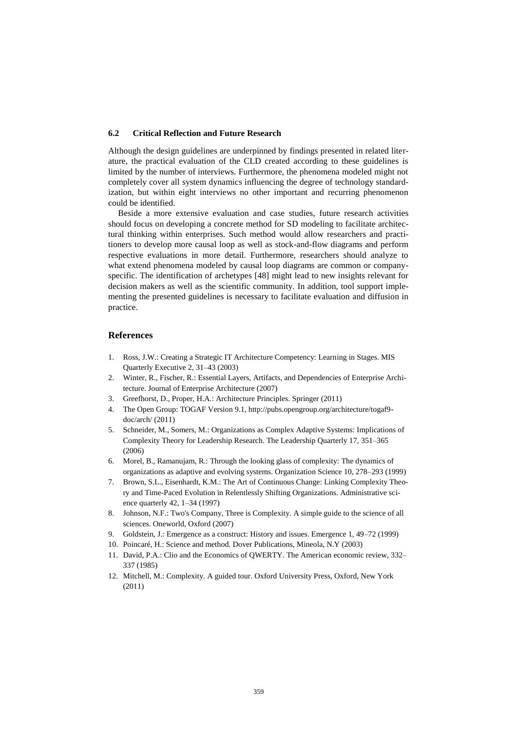#### **6.2 Critical Reflection and Future Research**

Although the design guidelines are underpinned by findings presented in related literature, the practical evaluation of the CLD created according to these guidelines is limited by the number of interviews. Furthermore, the phenomena modeled might not completely cover all system dynamics influencing the degree of technology standardization, but within eight interviews no other important and recurring phenomenon could be identified.

Beside a more extensive evaluation and case studies, future research activities should focus on developing a concrete method for SD modeling to facilitate architectural thinking within enterprises. Such method would allow researchers and practitioners to develop more causal loop as well as stock-and-flow diagrams and perform respective evaluations in more detail. Furthermore, researchers should analyze to what extend phenomena modeled by causal loop diagrams are common or companyspecific. The identification of archetypes [48] might lead to new insights relevant for decision makers as well as the scientific community. In addition, tool support implementing the presented guidelines is necessary to facilitate evaluation and diffusion in practice.

#### **References**

- 1. Ross, J.W.: Creating a Strategic IT Architecture Competency: Learning in Stages. MIS Quarterly Executive 2, 31–43 (2003)
- 2. Winter, R., Fischer, R.: Essential Layers, Artifacts, and Dependencies of Enterprise Architecture. Journal of Enterprise Architecture (2007)
- 3. Greefhorst, D., Proper, H.A.: Architecture Principles. Springer (2011)
- 4. The Open Group: TOGAF Version 9.1, http://pubs.opengroup.org/architecture/togaf9 doc/arch/ (2011)
- 5. Schneider, M., Somers, M.: Organizations as Complex Adaptive Systems: Implications of Complexity Theory for Leadership Research. The Leadership Quarterly 17, 351–365 (2006)
- 6. Morel, B., Ramanujam, R.: Through the looking glass of complexity: The dynamics of organizations as adaptive and evolving systems. Organization Science 10, 278–293 (1999)
- 7. Brown, S.L., Eisenhardt, K.M.: The Art of Continuous Change: Linking Complexity Theory and Time-Paced Evolution in Relentlessly Shifting Organizations. Administrative science quarterly 42, 1–34 (1997)
- 8. Johnson, N.F.: Two's Company, Three is Complexity. A simple guide to the science of all sciences. Oneworld, Oxford (2007)
- 9. Goldstein, J.: Emergence as a construct: History and issues. Emergence 1, 49–72 (1999)
- 10. Poincaré, H.: Science and method. Dover Publications, Mineola, N.Y (2003)
- 11. David, P.A.: Clio and the Economics of QWERTY. The American economic review, 332– 337 (1985)
- 12. Mitchell, M.: Complexity. A guided tour. Oxford University Press, Oxford, New York (2011)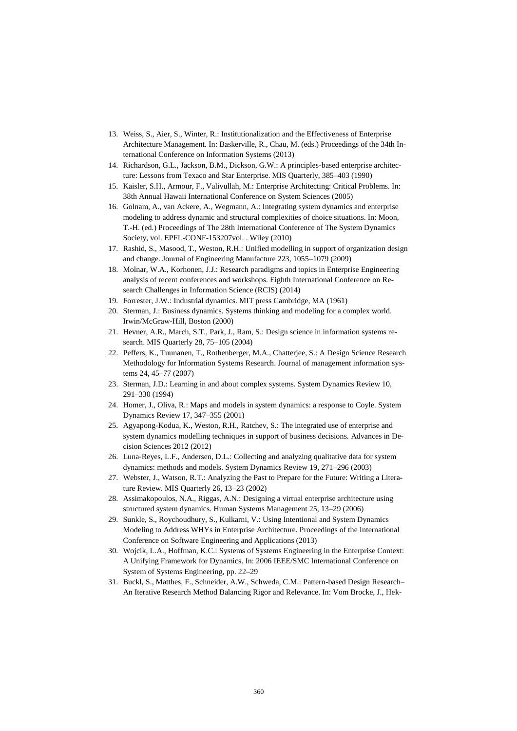- 13. Weiss, S., Aier, S., Winter, R.: Institutionalization and the Effectiveness of Enterprise Architecture Management. In: Baskerville, R., Chau, M. (eds.) Proceedings of the 34th International Conference on Information Systems (2013)
- 14. Richardson, G.L., Jackson, B.M., Dickson, G.W.: A principles-based enterprise architecture: Lessons from Texaco and Star Enterprise. MIS Quarterly, 385–403 (1990)
- 15. Kaisler, S.H., Armour, F., Valivullah, M.: Enterprise Architecting: Critical Problems. In: 38th Annual Hawaii International Conference on System Sciences (2005)
- 16. Golnam, A., van Ackere, A., Wegmann, A.: Integrating system dynamics and enterprise modeling to address dynamic and structural complexities of choice situations. In: Moon, T.-H. (ed.) Proceedings of The 28th International Conference of The System Dynamics Society, vol. EPFL-CONF-153207vol. . Wiley (2010)
- 17. Rashid, S., Masood, T., Weston, R.H.: Unified modelling in support of organization design and change. Journal of Engineering Manufacture 223, 1055–1079 (2009)
- 18. Molnar, W.A., Korhonen, J.J.: Research paradigms and topics in Enterprise Engineering analysis of recent conferences and workshops. Eighth International Conference on Research Challenges in Information Science (RCIS) (2014)
- 19. Forrester, J.W.: Industrial dynamics. MIT press Cambridge, MA (1961)
- 20. Sterman, J.: Business dynamics. Systems thinking and modeling for a complex world. Irwin/McGraw-Hill, Boston (2000)
- 21. Hevner, A.R., March, S.T., Park, J., Ram, S.: Design science in information systems research. MIS Quarterly 28, 75–105 (2004)
- 22. Peffers, K., Tuunanen, T., Rothenberger, M.A., Chatterjee, S.: A Design Science Research Methodology for Information Systems Research. Journal of management information systems 24, 45–77 (2007)
- 23. Sterman, J.D.: Learning in and about complex systems. System Dynamics Review 10, 291–330 (1994)
- 24. Homer, J., Oliva, R.: Maps and models in system dynamics: a response to Coyle. System Dynamics Review 17, 347–355 (2001)
- 25. Agyapong-Kodua, K., Weston, R.H., Ratchev, S.: The integrated use of enterprise and system dynamics modelling techniques in support of business decisions. Advances in Decision Sciences 2012 (2012)
- 26. Luna‐Reyes, L.F., Andersen, D.L.: Collecting and analyzing qualitative data for system dynamics: methods and models. System Dynamics Review 19, 271–296 (2003)
- 27. Webster, J., Watson, R.T.: Analyzing the Past to Prepare for the Future: Writing a Literature Review. MIS Quarterly 26, 13–23 (2002)
- 28. Assimakopoulos, N.A., Riggas, A.N.: Designing a virtual enterprise architecture using structured system dynamics. Human Systems Management 25, 13–29 (2006)
- 29. Sunkle, S., Roychoudhury, S., Kulkarni, V.: Using Intentional and System Dynamics Modeling to Address WHYs in Enterprise Architecture. Proceedings of the International Conference on Software Engineering and Applications (2013)
- 30. Wojcik, L.A., Hoffman, K.C.: Systems of Systems Engineering in the Enterprise Context: A Unifying Framework for Dynamics. In: 2006 IEEE/SMC International Conference on System of Systems Engineering, pp. 22–29
- 31. Buckl, S., Matthes, F., Schneider, A.W., Schweda, C.M.: Pattern-based Design Research– An Iterative Research Method Balancing Rigor and Relevance. In: Vom Brocke, J., Hek-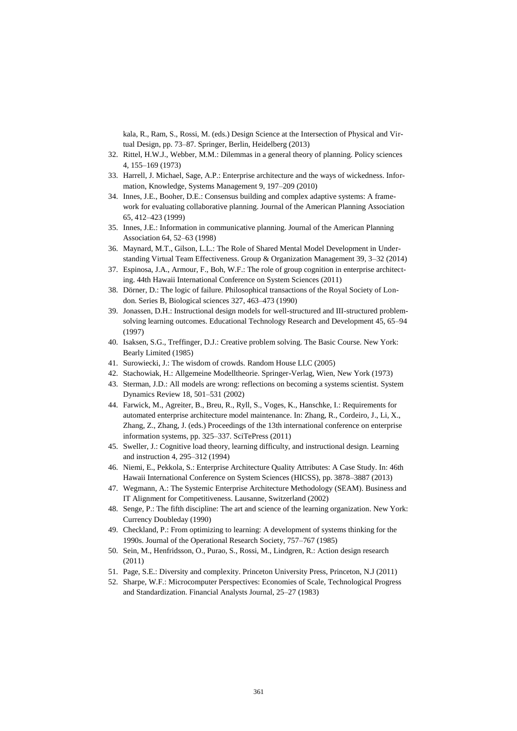kala, R., Ram, S., Rossi, M. (eds.) Design Science at the Intersection of Physical and Virtual Design, pp. 73–87. Springer, Berlin, Heidelberg (2013)

- 32. Rittel, H.W.J., Webber, M.M.: Dilemmas in a general theory of planning. Policy sciences 4, 155–169 (1973)
- 33. Harrell, J. Michael, Sage, A.P.: Enterprise architecture and the ways of wickedness. Information, Knowledge, Systems Management 9, 197–209 (2010)
- 34. Innes, J.E., Booher, D.E.: Consensus building and complex adaptive systems: A framework for evaluating collaborative planning. Journal of the American Planning Association 65, 412–423 (1999)
- 35. Innes, J.E.: Information in communicative planning. Journal of the American Planning Association 64, 52–63 (1998)
- 36. Maynard, M.T., Gilson, L.L.: The Role of Shared Mental Model Development in Understanding Virtual Team Effectiveness. Group & Organization Management 39, 3–32 (2014)
- 37. Espinosa, J.A., Armour, F., Boh, W.F.: The role of group cognition in enterprise architecting. 44th Hawaii International Conference on System Sciences (2011)
- 38. Dörner, D.: The logic of failure. Philosophical transactions of the Royal Society of London. Series B, Biological sciences 327, 463–473 (1990)
- 39. Jonassen, D.H.: Instructional design models for well-structured and III-structured problemsolving learning outcomes. Educational Technology Research and Development 45, 65–94 (1997)
- 40. Isaksen, S.G., Treffinger, D.J.: Creative problem solving. The Basic Course. New York: Bearly Limited (1985)
- 41. Surowiecki, J.: The wisdom of crowds. Random House LLC (2005)
- 42. Stachowiak, H.: Allgemeine Modelltheorie. Springer-Verlag, Wien, New York (1973)
- 43. Sterman, J.D.: All models are wrong: reflections on becoming a systems scientist. System Dynamics Review 18, 501–531 (2002)
- 44. Farwick, M., Agreiter, B., Breu, R., Ryll, S., Voges, K., Hanschke, I.: Requirements for automated enterprise architecture model maintenance. In: Zhang, R., Cordeiro, J., Li, X., Zhang, Z., Zhang, J. (eds.) Proceedings of the 13th international conference on enterprise information systems, pp. 325–337. SciTePress (2011)
- 45. Sweller, J.: Cognitive load theory, learning difficulty, and instructional design. Learning and instruction 4, 295–312 (1994)
- 46. Niemi, E., Pekkola, S.: Enterprise Architecture Quality Attributes: A Case Study. In: 46th Hawaii International Conference on System Sciences (HICSS), pp. 3878–3887 (2013)
- 47. Wegmann, A.: The Systemic Enterprise Architecture Methodology (SEAM). Business and IT Alignment for Competitiveness. Lausanne, Switzerland (2002)
- 48. Senge, P.: The fifth discipline: The art and science of the learning organization. New York: Currency Doubleday (1990)
- 49. Checkland, P.: From optimizing to learning: A development of systems thinking for the 1990s. Journal of the Operational Research Society, 757–767 (1985)
- 50. Sein, M., Henfridsson, O., Purao, S., Rossi, M., Lindgren, R.: Action design research (2011)
- 51. Page, S.E.: Diversity and complexity. Princeton University Press, Princeton, N.J (2011)
- 52. Sharpe, W.F.: Microcomputer Perspectives: Economies of Scale, Technological Progress and Standardization. Financial Analysts Journal, 25–27 (1983)